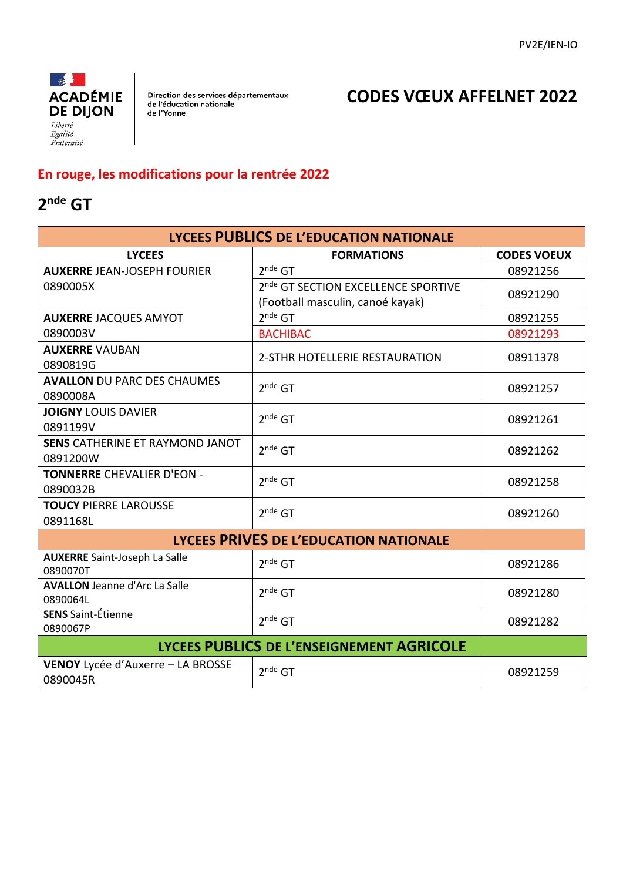

Direction des services départementaux<br>de l'éducation nationale<br>de l'Yonne

### **CODES VŒUX AFFELNET 2022**

#### **En rouge, les modifications pour la rentrée 2022**

### **2 nde GT**

| <b>LYCEES PUBLICS DE L'EDUCATION NATIONALE</b>   |                                                 |                    |  |
|--------------------------------------------------|-------------------------------------------------|--------------------|--|
| <b>LYCEES</b>                                    | <b>FORMATIONS</b>                               | <b>CODES VOEUX</b> |  |
| <b>AUXERRE JEAN-JOSEPH FOURIER</b>               | $2^{nde}$ GT                                    | 08921256           |  |
| 0890005X                                         | 2 <sup>nde</sup> GT SECTION EXCELLENCE SPORTIVE | 08921290           |  |
|                                                  | (Football masculin, canoé kayak)                |                    |  |
| <b>AUXERRE JACQUES AMYOT</b>                     | $2^{nde}$ GT                                    | 08921255           |  |
| 0890003V                                         | <b>BACHIBAC</b>                                 | 08921293           |  |
| <b>AUXERRE VAUBAN</b>                            | 2-STHR HOTELLERIE RESTAURATION                  | 08911378           |  |
| 0890819G                                         |                                                 |                    |  |
| <b>AVALLON DU PARC DES CHAUMES</b>               | $2^{nde}$ GT                                    | 08921257           |  |
| 0890008A                                         |                                                 |                    |  |
| <b>JOIGNY LOUIS DAVIER</b>                       | $2^{nde}$ GT                                    | 08921261           |  |
| 0891199V                                         |                                                 |                    |  |
| <b>SENS CATHERINE ET RAYMOND JANOT</b>           | $2^{nde}$ GT                                    | 08921262           |  |
| 0891200W                                         |                                                 |                    |  |
| <b>TONNERRE CHEVALIER D'EON -</b><br>0890032B    | $2^{nde}$ GT                                    | 08921258           |  |
|                                                  |                                                 |                    |  |
| <b>TOUCY PIERRE LAROUSSE</b><br>0891168L         | $2^{nde}$ GT                                    | 08921260           |  |
|                                                  |                                                 |                    |  |
|                                                  | LYCEES PRIVES DE L'EDUCATION NATIONALE          |                    |  |
| <b>AUXERRE</b> Saint-Joseph La Salle<br>0890070T | $2^{nde}$ GT                                    | 08921286           |  |
| <b>AVALLON</b> Jeanne d'Arc La Salle             | $2^{nde}$ GT                                    | 08921280           |  |
| 0890064L                                         |                                                 |                    |  |
| <b>SENS</b> Saint-Étienne                        | $2^{nde}$ GT                                    | 08921282           |  |
| 0890067P                                         |                                                 |                    |  |
| LYCEES PUBLICS DE L'ENSEIGNEMENT AGRICOLE        |                                                 |                    |  |
| VENOY Lycée d'Auxerre - LA BROSSE<br>0890045R    | $2^{nde}$ GT                                    | 08921259           |  |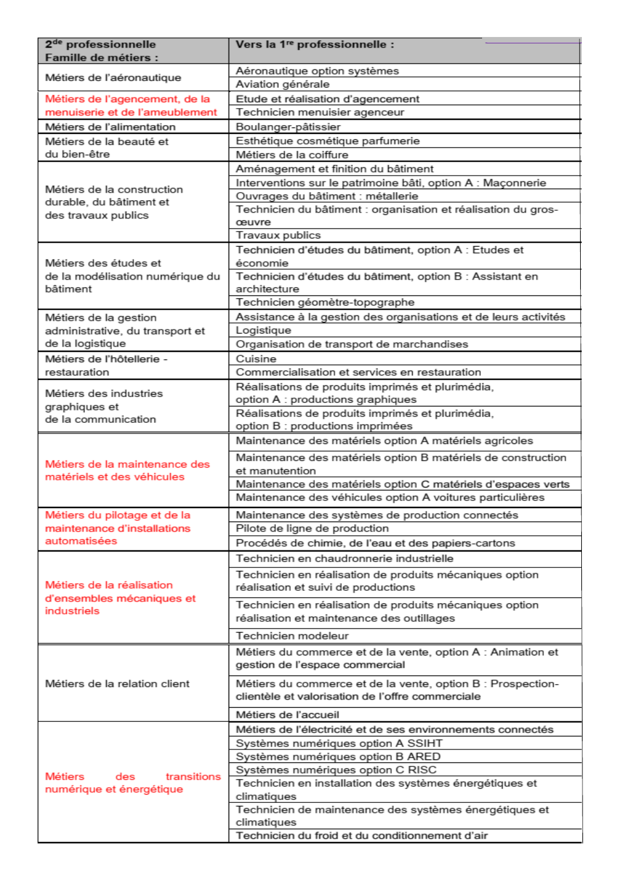| 2 <sup>de</sup> professionnelle<br><b>Famille de métiers :</b> | Vers la 1 <sup>re</sup> professionnelle :                                                                       |
|----------------------------------------------------------------|-----------------------------------------------------------------------------------------------------------------|
|                                                                | Aéronautique option systèmes                                                                                    |
| Métiers de l'aéronautique                                      | Aviation générale                                                                                               |
| Métiers de l'agencement, de la                                 | Etude et réalisation d'agencement                                                                               |
| menuiserie et de l'ameublement                                 | Technicien menuisier agenceur                                                                                   |
| Métiers de l'alimentation                                      | Boulanger-pâtissier                                                                                             |
| Métiers de la beauté et                                        | Esthétique cosmétique parfumerie                                                                                |
| du bien-être                                                   | Métiers de la coiffure                                                                                          |
|                                                                | Aménagement et finition du bâtiment                                                                             |
|                                                                | Interventions sur le patrimoine bâti, option A : Maçonnerie                                                     |
| Métiers de la construction                                     | Ouvrages du bâtiment : métallerie                                                                               |
| durable, du bâtiment et                                        | Technicien du bâtiment : organisation et réalisation du gros-                                                   |
| des travaux publics                                            | œuvre                                                                                                           |
|                                                                | Travaux publics                                                                                                 |
|                                                                | Technicien d'études du bâtiment, option A : Etudes et                                                           |
| Métiers des études et                                          | économie                                                                                                        |
| de la modélisation numérique du<br>bâtiment                    | Technicien d'études du bâtiment, option B : Assistant en<br>architecture                                        |
|                                                                | Technicien géomètre-topographe                                                                                  |
| Métiers de la gestion                                          | Assistance à la gestion des organisations et de leurs activités                                                 |
| administrative, du transport et                                | Logistique                                                                                                      |
| de la logistique                                               | Organisation de transport de marchandises                                                                       |
| Métiers de l'hôtellerie -                                      | Cuisine                                                                                                         |
| restauration                                                   | Commercialisation et services en restauration                                                                   |
|                                                                | Réalisations de produits imprimés et plurimédia,                                                                |
| Métiers des industries                                         | option A : productions graphiques                                                                               |
| graphiques et<br>de la communication                           | Réalisations de produits imprimés et plurimédia,                                                                |
|                                                                | option B : productions imprimées                                                                                |
|                                                                | Maintenance des matériels option A matériels agricoles                                                          |
|                                                                | Maintenance des matériels option B matériels de construction                                                    |
| Métiers de la maintenance des                                  | et manutention                                                                                                  |
| matériels et des véhicules                                     | Maintenance des matériels option C matériels d'espaces verts                                                    |
|                                                                | Maintenance des véhicules option A voitures particulières                                                       |
| Métiers du pilotage et de la                                   | Maintenance des systèmes de production connectés                                                                |
| maintenance d'installations                                    | Pilote de ligne de production                                                                                   |
| automatisées                                                   | Procédés de chimie, de l'eau et des papiers-cartons                                                             |
|                                                                | Technicien en chaudronnerie industrielle                                                                        |
|                                                                | Technicien en réalisation de produits mécaniques option                                                         |
| Métiers de la réalisation                                      | réalisation et suivi de productions                                                                             |
| d'ensembles mécaniques et                                      | Technicien en réalisation de produits mécaniques option                                                         |
| industriels                                                    | réalisation et maintenance des outillages                                                                       |
|                                                                |                                                                                                                 |
|                                                                | Technicien modeleur                                                                                             |
|                                                                | Métiers du commerce et de la vente, option A : Animation et<br>gestion de l'espace commercial                   |
| Métiers de la relation client                                  | Métiers du commerce et de la vente, option B : Prospection-<br>clientèle et valorisation de l'offre commerciale |
|                                                                |                                                                                                                 |
|                                                                | Métiers de l'accueil                                                                                            |
|                                                                | Métiers de l'électricité et de ses environnements connectés                                                     |
| Métiers<br>transitions<br>des<br>numérique et énergétique      | Systèmes numériques option A SSIHT                                                                              |
|                                                                | Systèmes numériques option B ARED                                                                               |
|                                                                | Systèmes numériques option C RISC                                                                               |
|                                                                | Technicien en installation des systèmes énergétiques et<br>climatiques                                          |
|                                                                | Technicien de maintenance des systèmes énergétiques et<br>climatiques                                           |
|                                                                | Technicien du froid et du conditionnement d'air                                                                 |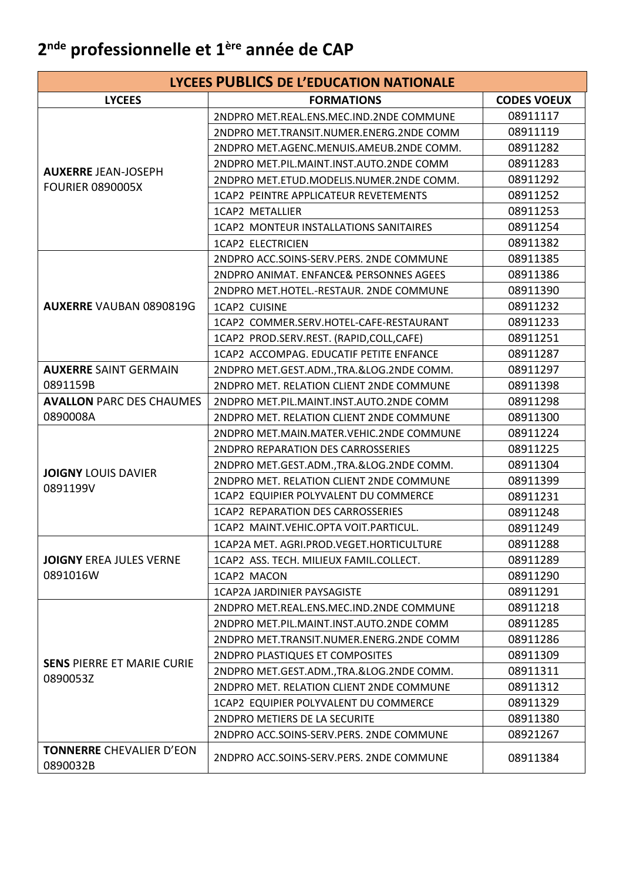### **2 nde professionnelle et 1ère année de CAP**

| LYCEES PUBLICS DE L'EDUCATION NATIONALE       |                                           |                    |  |
|-----------------------------------------------|-------------------------------------------|--------------------|--|
| <b>LYCEES</b>                                 | <b>FORMATIONS</b>                         | <b>CODES VOEUX</b> |  |
|                                               | 2NDPRO MET.REAL.ENS.MEC.IND.2NDE COMMUNE  | 08911117           |  |
|                                               | 2NDPRO MET.TRANSIT.NUMER.ENERG.2NDE COMM  | 08911119           |  |
|                                               | 2NDPRO MET.AGENC.MENUIS.AMEUB.2NDE COMM.  | 08911282           |  |
|                                               | 2NDPRO MET.PIL.MAINT.INST.AUTO.2NDE COMM  | 08911283           |  |
| <b>AUXERRE JEAN-JOSEPH</b>                    | 2NDPRO MET.ETUD.MODELIS.NUMER.2NDE COMM.  | 08911292           |  |
| <b>FOURIER 0890005X</b>                       | 1CAP2 PEINTRE APPLICATEUR REVETEMENTS     | 08911252           |  |
|                                               | <b>1CAP2 METALLIER</b>                    | 08911253           |  |
|                                               | 1CAP2 MONTEUR INSTALLATIONS SANITAIRES    | 08911254           |  |
|                                               | <b>1CAP2 ELECTRICIEN</b>                  | 08911382           |  |
|                                               | 2NDPRO ACC.SOINS-SERV.PERS. 2NDE COMMUNE  | 08911385           |  |
|                                               | 2NDPRO ANIMAT. ENFANCE& PERSONNES AGEES   | 08911386           |  |
|                                               | 2NDPRO MET.HOTEL.-RESTAUR. 2NDE COMMUNE   | 08911390           |  |
| <b>AUXERRE VAUBAN 0890819G</b>                | 1CAP2 CUISINE                             | 08911232           |  |
|                                               | 1CAP2 COMMER.SERV.HOTEL-CAFE-RESTAURANT   | 08911233           |  |
|                                               | 1CAP2 PROD.SERV.REST. (RAPID,COLL,CAFE)   | 08911251           |  |
|                                               | 1CAP2 ACCOMPAG. EDUCATIF PETITE ENFANCE   | 08911287           |  |
| <b>AUXERRE SAINT GERMAIN</b>                  | 2NDPRO MET.GEST.ADM., TRA.&LOG.2NDE COMM. | 08911297           |  |
| 0891159B                                      | 2NDPRO MET. RELATION CLIENT 2NDE COMMUNE  | 08911398           |  |
| <b>AVALLON PARC DES CHAUMES</b>               | 2NDPRO MET.PIL.MAINT.INST.AUTO.2NDE COMM  | 08911298           |  |
| 0890008A                                      | 2NDPRO MET. RELATION CLIENT 2NDE COMMUNE  | 08911300           |  |
|                                               | 2NDPRO MET.MAIN.MATER.VEHIC.2NDE COMMUNE  | 08911224           |  |
|                                               | 2NDPRO REPARATION DES CARROSSERIES        | 08911225           |  |
| <b>JOIGNY LOUIS DAVIER</b>                    | 2NDPRO MET.GEST.ADM., TRA.&LOG.2NDE COMM. | 08911304           |  |
| 0891199V                                      | 2NDPRO MET. RELATION CLIENT 2NDE COMMUNE  | 08911399           |  |
|                                               | 1CAP2 EQUIPIER POLYVALENT DU COMMERCE     | 08911231           |  |
|                                               | 1CAP2 REPARATION DES CARROSSERIES         | 08911248           |  |
|                                               | 1CAP2 MAINT.VEHIC.OPTA VOIT.PARTICUL.     | 08911249           |  |
|                                               | 1CAP2A MET. AGRI.PROD.VEGET.HORTICULTURE  | 08911288           |  |
| <b>JOIGNY EREA JULES VERNE</b><br>0891016W    | 1CAP2 ASS, TECH, MILIEUX FAMIL, COLLECT.  | 08911289           |  |
|                                               | 1CAP2 MACON                               | 08911290           |  |
|                                               | <b>1CAP2A JARDINIER PAYSAGISTE</b>        | 08911291           |  |
|                                               | 2NDPRO MET.REAL.ENS.MEC.IND.2NDE COMMUNE  | 08911218           |  |
|                                               | 2NDPRO MET.PIL.MAINT.INST.AUTO.2NDE COMM  | 08911285           |  |
|                                               | 2NDPRO MET.TRANSIT.NUMER.ENERG.2NDE COMM  | 08911286           |  |
| <b>SENS PIERRE ET MARIE CURIE</b><br>0890053Z | 2NDPRO PLASTIQUES ET COMPOSITES           | 08911309           |  |
|                                               | 2NDPRO MET.GEST.ADM., TRA.&LOG.2NDE COMM. | 08911311           |  |
|                                               | 2NDPRO MET. RELATION CLIENT 2NDE COMMUNE  | 08911312           |  |
|                                               | 1CAP2 EQUIPIER POLYVALENT DU COMMERCE     | 08911329           |  |
|                                               | 2NDPRO METIERS DE LA SECURITE             | 08911380           |  |
|                                               | 2NDPRO ACC.SOINS-SERV.PERS. 2NDE COMMUNE  | 08921267           |  |
| <b>TONNERRE CHEVALIER D'EON</b><br>0890032B   | 2NDPRO ACC.SOINS-SERV.PERS. 2NDE COMMUNE  | 08911384           |  |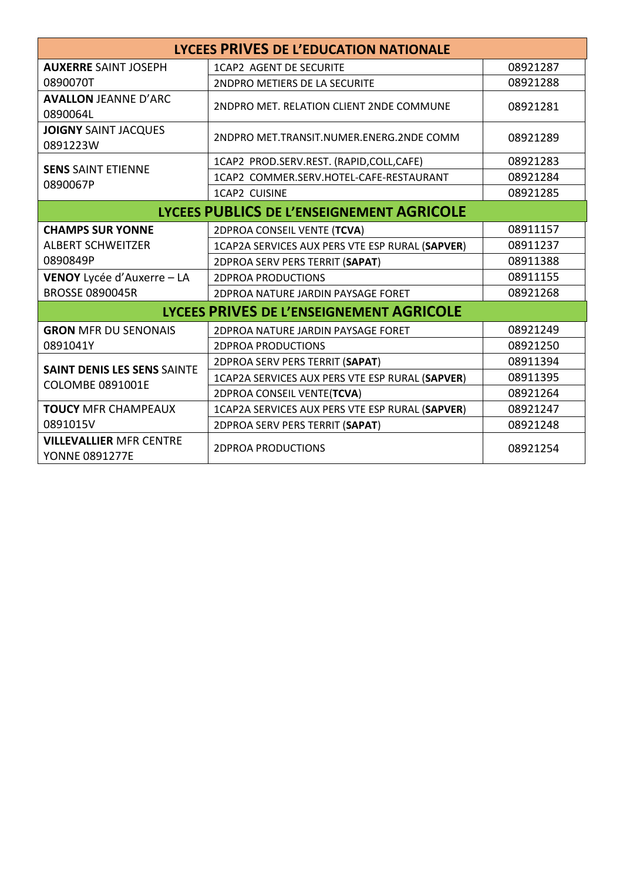| LYCEES PRIVES DE L'EDUCATION NATIONALE                  |                                                 |          |
|---------------------------------------------------------|-------------------------------------------------|----------|
| <b>AUXERRE SAINT JOSEPH</b>                             | 1CAP2 AGENT DE SECURITE                         | 08921287 |
| 0890070T                                                | 2NDPRO METIERS DE LA SECURITE                   | 08921288 |
| <b>AVALLON JEANNE D'ARC</b><br>0890064L                 | 2NDPRO MET. RELATION CLIENT 2NDE COMMUNE        | 08921281 |
| <b>JOIGNY SAINT JACQUES</b><br>0891223W                 | 2NDPRO MET.TRANSIT.NUMER.ENERG.2NDE COMM        | 08921289 |
| <b>SENS SAINT ETIENNE</b>                               | 1CAP2 PROD.SERV.REST. (RAPID,COLL,CAFE)         | 08921283 |
| 0890067P                                                | 1CAP2 COMMER.SERV.HOTEL-CAFE-RESTAURANT         | 08921284 |
|                                                         | 1CAP2 CUISINE                                   | 08921285 |
|                                                         | LYCEES PUBLICS DE L'ENSEIGNEMENT AGRICOLE       |          |
| <b>CHAMPS SUR YONNE</b>                                 | 2DPROA CONSEIL VENTE (TCVA)                     | 08911157 |
| <b>ALBERT SCHWEITZER</b>                                | 1CAP2A SERVICES AUX PERS VTE ESP RURAL (SAPVER) | 08911237 |
| 0890849P                                                | 2DPROA SERV PERS TERRIT (SAPAT)                 | 08911388 |
| VENOY Lycée d'Auxerre - LA                              | <b>2DPROA PRODUCTIONS</b>                       | 08911155 |
| <b>BROSSE 0890045R</b>                                  | 2DPROA NATURE JARDIN PAYSAGE FORET              | 08921268 |
| LYCEES PRIVES DE L'ENSEIGNEMENT AGRICOLE                |                                                 |          |
| <b>GRON MFR DU SENONAIS</b>                             | 2DPROA NATURE JARDIN PAYSAGE FORET              | 08921249 |
| 0891041Y                                                | <b>2DPROA PRODUCTIONS</b>                       | 08921250 |
| <b>SAINT DENIS LES SENS SAINTE</b>                      | 2DPROA SERV PERS TERRIT (SAPAT)                 | 08911394 |
| <b>COLOMBE 0891001E</b>                                 | 1CAP2A SERVICES AUX PERS VTE ESP RURAL (SAPVER) | 08911395 |
|                                                         | 2DPROA CONSEIL VENTE(TCVA)                      | 08921264 |
| <b>TOUCY MFR CHAMPEAUX</b>                              | 1CAP2A SERVICES AUX PERS VTE ESP RURAL (SAPVER) | 08921247 |
| 0891015V                                                | 2DPROA SERV PERS TERRIT (SAPAT)                 | 08921248 |
| <b>VILLEVALLIER MFR CENTRE</b><br><b>YONNE 0891277E</b> | <b>2DPROA PRODUCTIONS</b>                       | 08921254 |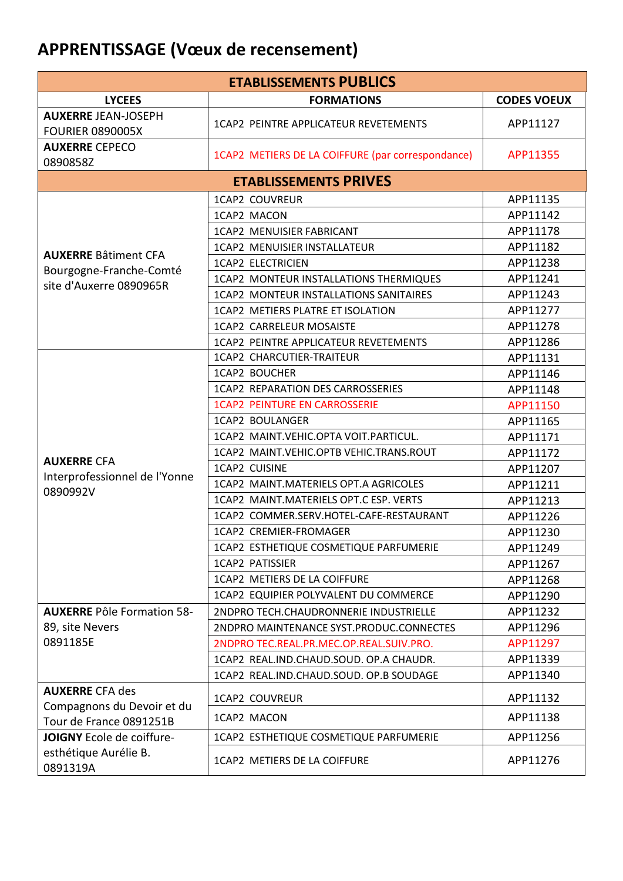# **APPRENTISSAGE (Vœux de recensement)**

| <b>ETABLISSEMENTS PUBLICS</b>                         |                                                   |                    |  |
|-------------------------------------------------------|---------------------------------------------------|--------------------|--|
| <b>LYCEES</b>                                         | <b>FORMATIONS</b>                                 | <b>CODES VOEUX</b> |  |
| <b>AUXERRE JEAN-JOSEPH</b><br><b>FOURIER 0890005X</b> | 1CAP2 PEINTRE APPLICATEUR REVETEMENTS             | APP11127           |  |
| <b>AUXERRE CEPECO</b><br>0890858Z                     | 1CAP2 METIERS DE LA COIFFURE (par correspondance) | APP11355           |  |
|                                                       | <b>ETABLISSEMENTS PRIVES</b>                      |                    |  |
|                                                       | <b>1CAP2 COUVREUR</b>                             | APP11135           |  |
|                                                       | 1CAP2 MACON                                       | APP11142           |  |
|                                                       | 1CAP2 MENUISIER FABRICANT                         | APP11178           |  |
|                                                       | 1CAP2 MENUISIER INSTALLATEUR                      | APP11182           |  |
| <b>AUXERRE Bâtiment CFA</b>                           | <b>1CAP2 ELECTRICIEN</b>                          | APP11238           |  |
| Bourgogne-Franche-Comté<br>site d'Auxerre 0890965R    | 1CAP2 MONTEUR INSTALLATIONS THERMIQUES            | APP11241           |  |
|                                                       | 1CAP2 MONTEUR INSTALLATIONS SANITAIRES            | APP11243           |  |
|                                                       | 1CAP2 METIERS PLATRE ET ISOLATION                 | APP11277           |  |
|                                                       | 1CAP2 CARRELEUR MOSAISTE                          | APP11278           |  |
|                                                       | <b>1CAP2 PEINTRE APPLICATEUR REVETEMENTS</b>      | APP11286           |  |
|                                                       | 1CAP2 CHARCUTIER-TRAITEUR                         | APP11131           |  |
|                                                       | <b>1CAP2 BOUCHER</b>                              | APP11146           |  |
|                                                       | <b>1CAP2 REPARATION DES CARROSSERIES</b>          | APP11148           |  |
|                                                       | <b>1CAP2 PEINTURE EN CARROSSERIE</b>              | APP11150           |  |
|                                                       | 1CAP2 BOULANGER                                   | APP11165           |  |
|                                                       | 1CAP2 MAINT.VEHIC.OPTA VOIT.PARTICUL.             | APP11171           |  |
|                                                       | 1CAP2 MAINT.VEHIC.OPTB VEHIC.TRANS.ROUT           | APP11172           |  |
| <b>AUXERRE CFA</b>                                    | 1CAP2 CUISINE                                     | APP11207           |  |
| Interprofessionnel de l'Yonne                         | 1CAP2 MAINT.MATERIELS OPT.A AGRICOLES             | APP11211           |  |
| 0890992V                                              | 1CAP2 MAINT.MATERIELS OPT.C ESP. VERTS            | APP11213           |  |
|                                                       | 1CAP2 COMMER.SERV.HOTEL-CAFE-RESTAURANT           | APP11226           |  |
|                                                       | 1CAP2 CREMIER-FROMAGER                            | APP11230           |  |
|                                                       | 1CAP2 ESTHETIQUE COSMETIQUE PARFUMERIE            | APP11249           |  |
|                                                       | 1CAP2 PATISSIER                                   | APP11267           |  |
|                                                       | 1CAP2 METIERS DE LA COIFFURE                      | APP11268           |  |
|                                                       | 1CAP2 EQUIPIER POLYVALENT DU COMMERCE             | APP11290           |  |
| <b>AUXERRE Pôle Formation 58-</b>                     | 2NDPRO TECH.CHAUDRONNERIE INDUSTRIELLE            | APP11232           |  |
| 89, site Nevers                                       | 2NDPRO MAINTENANCE SYST.PRODUC.CONNECTES          | APP11296           |  |
| 0891185E                                              | 2NDPRO TEC.REAL.PR.MEC.OP.REAL.SUIV.PRO.          | APP11297           |  |
|                                                       | 1CAP2 REAL.IND.CHAUD.SOUD. OP.A CHAUDR.           | APP11339           |  |
|                                                       | 1CAP2 REAL.IND.CHAUD.SOUD. OP.B SOUDAGE           | APP11340           |  |
| <b>AUXERRE CFA des</b>                                | 1CAP2 COUVREUR                                    | APP11132           |  |
| Compagnons du Devoir et du<br>Tour de France 0891251B | 1CAP2 MACON                                       | APP11138           |  |
| <b>JOIGNY</b> Ecole de coiffure-                      | 1CAP2 ESTHETIQUE COSMETIQUE PARFUMERIE            | APP11256           |  |
| esthétique Aurélie B.<br>0891319A                     | 1CAP2 METIERS DE LA COIFFURE                      | APP11276           |  |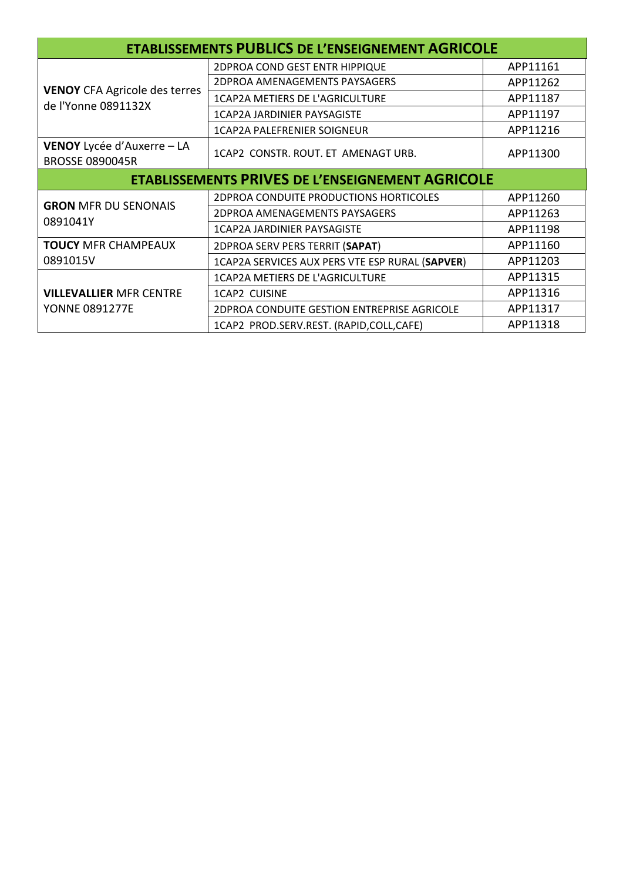| <b>ETABLISSEMENTS PUBLICS DE L'ENSEIGNEMENT AGRICOLE</b>    |                                                 |          |
|-------------------------------------------------------------|-------------------------------------------------|----------|
| <b>VENOY CFA Agricole des terres</b><br>de l'Yonne 0891132X | 2DPROA COND GEST ENTR HIPPIQUE                  | APP11161 |
|                                                             | 2DPROA AMENAGEMENTS PAYSAGERS                   | APP11262 |
|                                                             | 1CAP2A METIERS DE L'AGRICULTURE                 | APP11187 |
|                                                             | <b>1CAP2A JARDINIER PAYSAGISTE</b>              | APP11197 |
|                                                             | 1CAP2A PALEFRENIER SOIGNEUR                     | APP11216 |
| VENOY Lycée d'Auxerre - LA<br><b>BROSSE 0890045R</b>        | 1CAP2 CONSTR. ROUT. ET AMENAGT URB.             | APP11300 |
| <b>ETABLISSEMENTS PRIVES DE L'ENSEIGNEMENT AGRICOLE</b>     |                                                 |          |
| <b>GRON MFR DU SENONAIS</b><br>0891041Y                     | <b>2DPROA CONDUITE PRODUCTIONS HORTICOLES</b>   | APP11260 |
|                                                             | 2DPROA AMENAGEMENTS PAYSAGERS                   | APP11263 |
|                                                             | <b>1CAP2A JARDINIER PAYSAGISTE</b>              | APP11198 |
| <b>TOUCY MFR CHAMPEAUX</b>                                  | 2DPROA SERV PERS TERRIT (SAPAT)                 | APP11160 |
| 0891015V                                                    | 1CAP2A SERVICES AUX PERS VTE ESP RURAL (SAPVER) | APP11203 |
| <b>VILLEVALLIER MFR CENTRE</b><br><b>YONNE 0891277E</b>     | 1CAP2A METIERS DE L'AGRICULTURE                 | APP11315 |
|                                                             | 1CAP2 CUISINE                                   | APP11316 |
|                                                             | 2DPROA CONDUITE GESTION ENTREPRISE AGRICOLE     | APP11317 |
|                                                             | 1CAP2 PROD.SERV.REST. (RAPID,COLL,CAFE)         | APP11318 |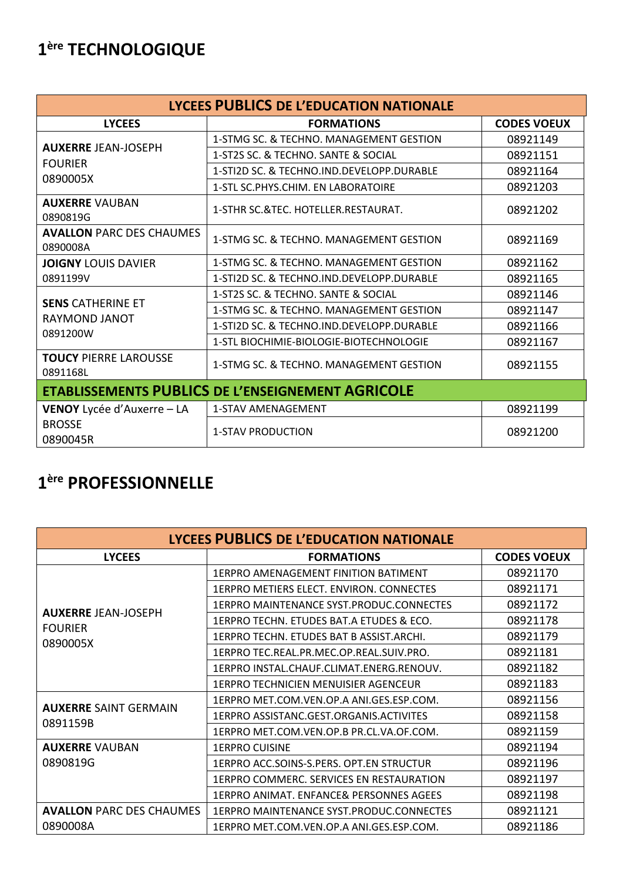# 1ère TECHNOLOGIQUE

| LYCEES PUBLICS DE L'EDUCATION NATIONALE                        |                                           |                    |  |
|----------------------------------------------------------------|-------------------------------------------|--------------------|--|
| <b>LYCEES</b>                                                  | <b>FORMATIONS</b>                         | <b>CODES VOEUX</b> |  |
| <b>AUXERRE JEAN-JOSEPH</b>                                     | 1-STMG SC. & TECHNO. MANAGEMENT GESTION   | 08921149           |  |
|                                                                | 1-ST2S SC. & TECHNO. SANTE & SOCIAL       | 08921151           |  |
| <b>FOURIER</b><br>0890005X                                     | 1-STI2D SC. & TECHNO.IND.DEVELOPP.DURABLE | 08921164           |  |
|                                                                | 1-STL SC. PHYS. CHIM. EN LABORATOIRE      | 08921203           |  |
| <b>AUXERRE VAUBAN</b><br>0890819G                              | 1-STHR SC.&TEC. HOTELLER.RESTAURAT.       | 08921202           |  |
| <b>AVALLON PARC DES CHAUMES</b><br>0890008A                    | 1-STMG SC. & TECHNO. MANAGEMENT GESTION   | 08921169           |  |
| <b>JOIGNY LOUIS DAVIER</b>                                     | 1-STMG SC. & TECHNO. MANAGEMENT GESTION   | 08921162           |  |
| 0891199V                                                       | 1-STI2D SC. & TECHNO.IND.DEVELOPP.DURABLE | 08921165           |  |
| <b>SENS CATHERINE ET</b><br>RAYMOND JANOT<br>0891200W          | 1-ST2S SC. & TECHNO. SANTE & SOCIAL       | 08921146           |  |
|                                                                | 1-STMG SC. & TECHNO. MANAGEMENT GESTION   | 08921147           |  |
|                                                                | 1-STI2D SC. & TECHNO.IND.DEVELOPP.DURABLE | 08921166           |  |
|                                                                | 1-STL BIOCHIMIE-BIOLOGIE-BIOTECHNOLOGIE   | 08921167           |  |
| <b>TOUCY PIERRE LAROUSSE</b><br>0891168L                       | 1-STMG SC. & TECHNO. MANAGEMENT GESTION   | 08921155           |  |
| <b>ETABLISSEMENTS PUBLICS DE L'ENSEIGNEMENT AGRICOLE</b>       |                                           |                    |  |
| <b>VENOY</b> Lycée d'Auxerre – LA<br><b>BROSSE</b><br>0890045R | <b>1-STAV AMENAGEMENT</b>                 | 08921199           |  |
|                                                                | <b>1-STAV PRODUCTION</b>                  | 08921200           |  |

## 1ère PROFESSIONNELLE

| LYCEES PUBLICS DE L'EDUCATION NATIONALE  |                                                    |                    |
|------------------------------------------|----------------------------------------------------|--------------------|
| <b>LYCEES</b>                            | <b>FORMATIONS</b>                                  | <b>CODES VOEUX</b> |
|                                          | 1ERPRO AMENAGEMENT FINITION BATIMENT               | 08921170           |
|                                          | 1ERPRO METIERS ELECT. ENVIRON. CONNECTES           | 08921171           |
| <b>AUXERRE JEAN-JOSEPH</b>               | 1ERPRO MAINTENANCE SYST.PRODUC.CONNECTES           | 08921172           |
| <b>FOURIER</b>                           | 1ERPRO TECHN. ETUDES BAT.A ETUDES & ECO.           | 08921178           |
| 0890005X                                 | 1ERPRO TECHN. ETUDES BAT B ASSIST.ARCHI.           | 08921179           |
|                                          | 1ERPRO TEC.REAL.PR.MEC.OP.REAL.SUIV.PRO.           | 08921181           |
|                                          | 1ERPRO INSTAL.CHAUF.CLIMAT.ENERG.RENOUV.           | 08921182           |
|                                          | 1ERPRO TECHNICIEN MENUISIER AGENCEUR               | 08921183           |
| <b>AUXERRE SAINT GERMAIN</b><br>0891159B | 1ERPRO MET.COM.VEN.OP.A ANI.GES.ESP.COM.           | 08921156           |
|                                          | 1ERPRO ASSISTANC.GEST.ORGANIS.ACTIVITES            | 08921158           |
|                                          | 1ERPRO MET.COM.VEN.OP.B PR.CL.VA.OF.COM.           | 08921159           |
| <b>AUXERRE VAUBAN</b>                    | <b>1ERPRO CUISINE</b>                              | 08921194           |
| 0890819G                                 | 1ERPRO ACC.SOINS-S.PERS. OPT.EN STRUCTUR           | 08921196           |
|                                          | 1ERPRO COMMERC. SERVICES EN RESTAURATION           | 08921197           |
|                                          | <b>1ERPRO ANIMAT. ENFANCE&amp; PERSONNES AGEES</b> | 08921198           |
| <b>AVALLON PARC DES CHAUMES</b>          | 1ERPRO MAINTENANCE SYST PRODUC CONNECTES           | 08921121           |
| 0890008A                                 | 1ERPRO MET.COM.VEN.OP.A ANI.GES.ESP.COM.           | 08921186           |